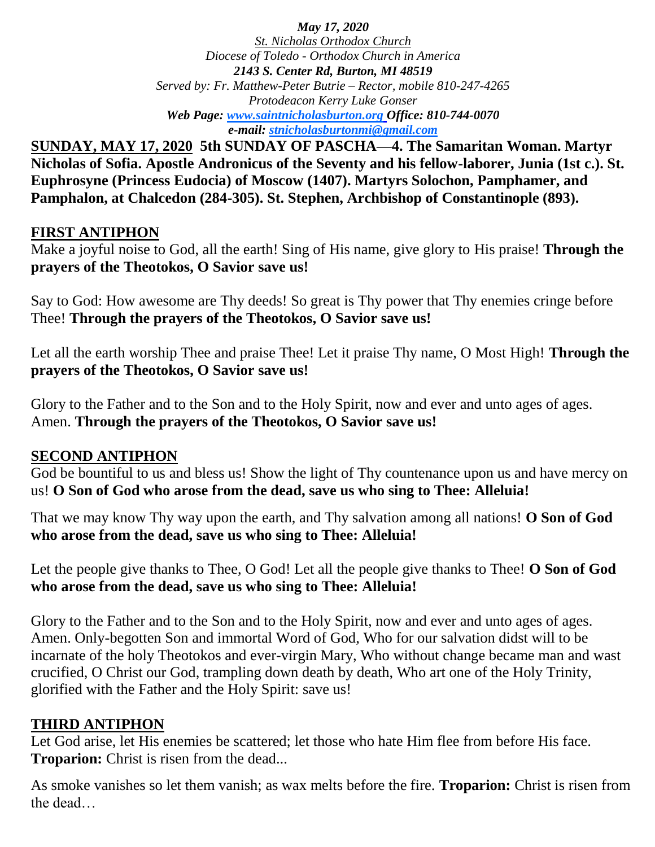*May 17, 2020*

*St. Nicholas Orthodox Church Diocese of Toledo - Orthodox Church in America 2143 S. Center Rd, Burton, MI 48519 Served by: Fr. Matthew-Peter Butrie – Rector, mobile 810-247-4265 Protodeacon Kerry Luke Gonser Web Page: www.saintnicholasburton.org Office: 810-744-0070 e-mail: stnicholasburtonmi@gmail.com*

**SUNDAY, MAY 17, 2020 5th SUNDAY OF PASCHA—4. The Samaritan Woman. Martyr Nicholas of Sofia. Apostle Andronicus of the Seventy and his fellow-laborer, Junia (1st c.). St. Euphrosyne (Princess Eudocia) of Moscow (1407). Martyrs Solochon, Pamphamer, and Pamphalon, at Chalcedon (284-305). St. Stephen, Archbishop of Constantinople (893).**

### **FIRST ANTIPHON**

Make a joyful noise to God, all the earth! Sing of His name, give glory to His praise! **Through the prayers of the Theotokos, O Savior save us!**

Say to God: How awesome are Thy deeds! So great is Thy power that Thy enemies cringe before Thee! **Through the prayers of the Theotokos, O Savior save us!**

Let all the earth worship Thee and praise Thee! Let it praise Thy name, O Most High! **Through the prayers of the Theotokos, O Savior save us!**

Glory to the Father and to the Son and to the Holy Spirit, now and ever and unto ages of ages. Amen. **Through the prayers of the Theotokos, O Savior save us!**

### **SECOND ANTIPHON**

God be bountiful to us and bless us! Show the light of Thy countenance upon us and have mercy on us! **O Son of God who arose from the dead, save us who sing to Thee: Alleluia!**

That we may know Thy way upon the earth, and Thy salvation among all nations! **O Son of God who arose from the dead, save us who sing to Thee: Alleluia!**

Let the people give thanks to Thee, O God! Let all the people give thanks to Thee! **O Son of God who arose from the dead, save us who sing to Thee: Alleluia!**

Glory to the Father and to the Son and to the Holy Spirit, now and ever and unto ages of ages. Amen. Only-begotten Son and immortal Word of God, Who for our salvation didst will to be incarnate of the holy Theotokos and ever-virgin Mary, Who without change became man and wast crucified, O Christ our God, trampling down death by death, Who art one of the Holy Trinity, glorified with the Father and the Holy Spirit: save us!

# **THIRD ANTIPHON**

Let God arise, let His enemies be scattered; let those who hate Him flee from before His face. **Troparion:** Christ is risen from the dead...

As smoke vanishes so let them vanish; as wax melts before the fire. **Troparion:** Christ is risen from the dead…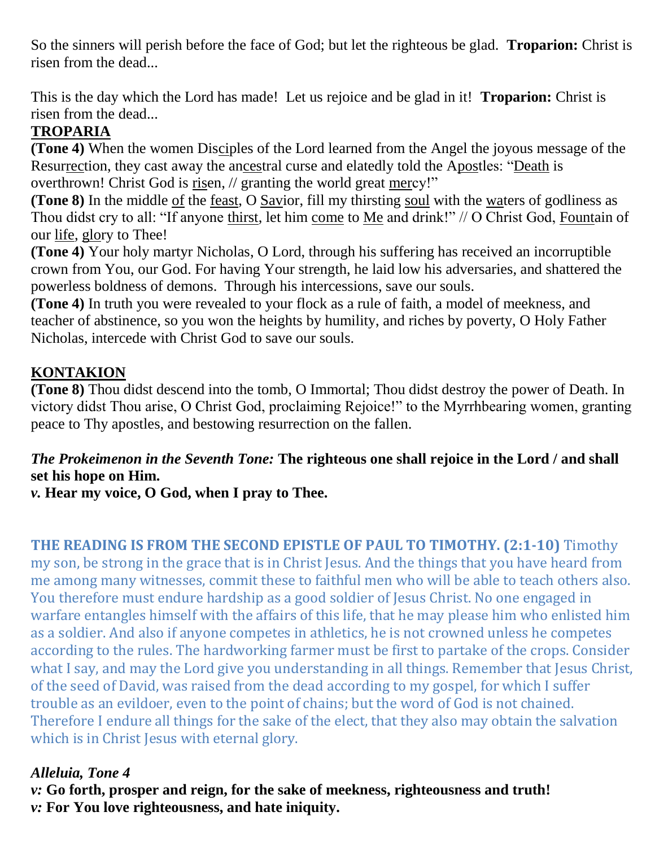So the sinners will perish before the face of God; but let the righteous be glad. **Troparion:** Christ is risen from the dead...

This is the day which the Lord has made! Let us rejoice and be glad in it! **Troparion:** Christ is risen from the dead...

# **TROPARIA**

**(Tone 4)** When the women Disciples of the Lord learned from the Angel the joyous message of the Resurrection, they cast away the ancestral curse and elatedly told the Apostles: "Death is overthrown! Christ God is risen, // granting the world great mercy!"

**(Tone 8)** In the middle of the feast, O Savior, fill my thirsting soul with the waters of godliness as Thou didst cry to all: "If anyone thirst, let him come to Me and drink!" // O Christ God, Fountain of our life, glory to Thee!

**(Tone 4)** Your holy martyr Nicholas, O Lord, through his suffering has received an incorruptible crown from You, our God. For having Your strength, he laid low his adversaries, and shattered the powerless boldness of demons. Through his intercessions, save our souls.

**(Tone 4)** In truth you were revealed to your flock as a rule of faith, a model of meekness, and teacher of abstinence, so you won the heights by humility, and riches by poverty, O Holy Father Nicholas, intercede with Christ God to save our souls.

# **KONTAKION**

**(Tone 8)** Thou didst descend into the tomb, O Immortal; Thou didst destroy the power of Death. In victory didst Thou arise, O Christ God, proclaiming Rejoice!" to the Myrrhbearing women, granting peace to Thy apostles, and bestowing resurrection on the fallen.

# *The Prokeimenon in the Seventh Tone:* **The righteous one shall rejoice in the Lord / and shall set his hope on Him.**

*v.* **Hear my voice, O God, when I pray to Thee.**

# **THE READING IS FROM THE SECOND EPISTLE OF PAUL TO TIMOTHY. (2:1-10)** Timothy

my son, be strong in the grace that is in Christ Jesus. And the things that you have heard from me among many witnesses, commit these to faithful men who will be able to teach others also. You therefore must endure hardship as a good soldier of Jesus Christ. No one engaged in warfare entangles himself with the affairs of this life, that he may please him who enlisted him as a soldier. And also if anyone competes in athletics, he is not crowned unless he competes according to the rules. The hardworking farmer must be first to partake of the crops. Consider what I say, and may the Lord give you understanding in all things. Remember that Jesus Christ, of the seed of David, was raised from the dead according to my gospel, for which I suffer trouble as an evildoer, even to the point of chains; but the word of God is not chained. Therefore I endure all things for the sake of the elect, that they also may obtain the salvation which is in Christ Jesus with eternal glory.

# *Alleluia, Tone 4*

*v:* **Go forth, prosper and reign, for the sake of meekness, righteousness and truth!** *v:* **For You love righteousness, and hate iniquity.**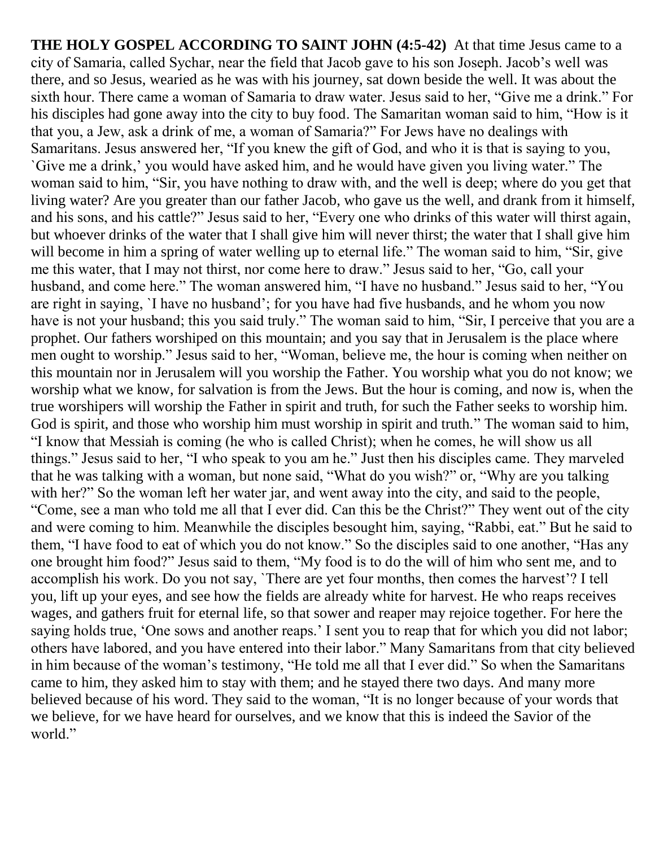**THE HOLY GOSPEL ACCORDING TO SAINT JOHN (4:5-42)** At that time Jesus came to a city of Samaria, called Sychar, near the field that Jacob gave to his son Joseph. Jacob's well was there, and so Jesus, wearied as he was with his journey, sat down beside the well. It was about the sixth hour. There came a woman of Samaria to draw water. Jesus said to her, "Give me a drink." For his disciples had gone away into the city to buy food. The Samaritan woman said to him, "How is it that you, a Jew, ask a drink of me, a woman of Samaria?" For Jews have no dealings with Samaritans. Jesus answered her, "If you knew the gift of God, and who it is that is saying to you, `Give me a drink,' you would have asked him, and he would have given you living water." The woman said to him, "Sir, you have nothing to draw with, and the well is deep; where do you get that living water? Are you greater than our father Jacob, who gave us the well, and drank from it himself, and his sons, and his cattle?" Jesus said to her, "Every one who drinks of this water will thirst again, but whoever drinks of the water that I shall give him will never thirst; the water that I shall give him will become in him a spring of water welling up to eternal life." The woman said to him, "Sir, give me this water, that I may not thirst, nor come here to draw." Jesus said to her, "Go, call your husband, and come here." The woman answered him, "I have no husband." Jesus said to her, "You are right in saying, `I have no husband'; for you have had five husbands, and he whom you now have is not your husband; this you said truly." The woman said to him, "Sir, I perceive that you are a prophet. Our fathers worshiped on this mountain; and you say that in Jerusalem is the place where men ought to worship." Jesus said to her, "Woman, believe me, the hour is coming when neither on this mountain nor in Jerusalem will you worship the Father. You worship what you do not know; we worship what we know, for salvation is from the Jews. But the hour is coming, and now is, when the true worshipers will worship the Father in spirit and truth, for such the Father seeks to worship him. God is spirit, and those who worship him must worship in spirit and truth." The woman said to him, "I know that Messiah is coming (he who is called Christ); when he comes, he will show us all things." Jesus said to her, "I who speak to you am he." Just then his disciples came. They marveled that he was talking with a woman, but none said, "What do you wish?" or, "Why are you talking with her?" So the woman left her water jar, and went away into the city, and said to the people, "Come, see a man who told me all that I ever did. Can this be the Christ?" They went out of the city and were coming to him. Meanwhile the disciples besought him, saying, "Rabbi, eat." But he said to them, "I have food to eat of which you do not know." So the disciples said to one another, "Has any one brought him food?" Jesus said to them, "My food is to do the will of him who sent me, and to accomplish his work. Do you not say, `There are yet four months, then comes the harvest'? I tell you, lift up your eyes, and see how the fields are already white for harvest. He who reaps receives wages, and gathers fruit for eternal life, so that sower and reaper may rejoice together. For here the saying holds true, 'One sows and another reaps.' I sent you to reap that for which you did not labor; others have labored, and you have entered into their labor." Many Samaritans from that city believed in him because of the woman's testimony, "He told me all that I ever did." So when the Samaritans came to him, they asked him to stay with them; and he stayed there two days. And many more believed because of his word. They said to the woman, "It is no longer because of your words that we believe, for we have heard for ourselves, and we know that this is indeed the Savior of the world."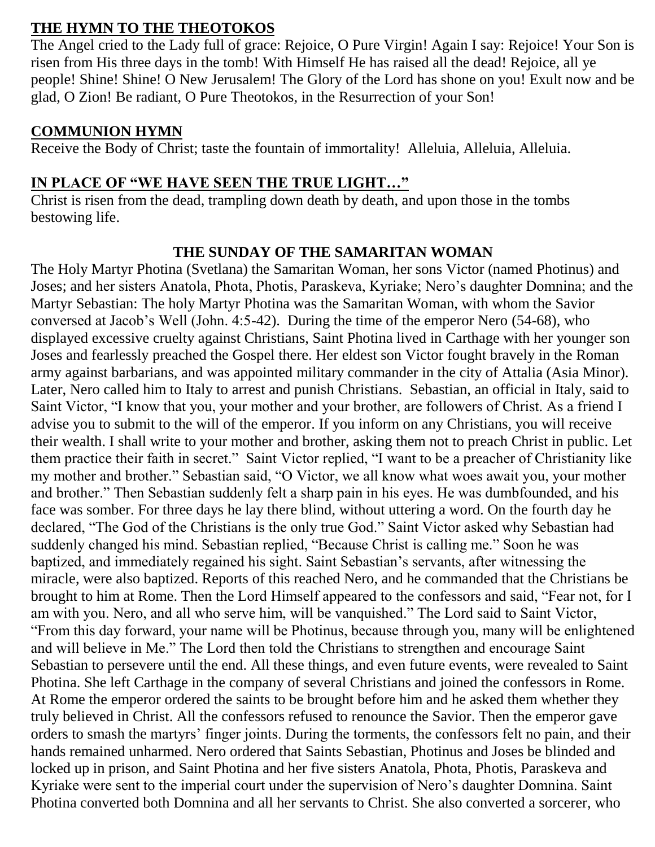# **THE HYMN TO THE THEOTOKOS**

The Angel cried to the Lady full of grace: Rejoice, O Pure Virgin! Again I say: Rejoice! Your Son is risen from His three days in the tomb! With Himself He has raised all the dead! Rejoice, all ye people! Shine! Shine! O New Jerusalem! The Glory of the Lord has shone on you! Exult now and be glad, O Zion! Be radiant, O Pure Theotokos, in the Resurrection of your Son!

# **COMMUNION HYMN**

Receive the Body of Christ; taste the fountain of immortality! Alleluia, Alleluia, Alleluia.

# **IN PLACE OF "WE HAVE SEEN THE TRUE LIGHT…"**

Christ is risen from the dead, trampling down death by death, and upon those in the tombs bestowing life.

# **THE SUNDAY OF THE SAMARITAN WOMAN**

The Holy Martyr Photina (Svetlana) the Samaritan Woman, her sons Victor (named Photinus) and Joses; and her sisters Anatola, Phota, Photis, Paraskeva, Kyriake; Nero's daughter Domnina; and the Martyr Sebastian: The holy Martyr Photina was the Samaritan Woman, with whom the Savior conversed at Jacob's Well (John. 4:5-42). During the time of the emperor Nero (54-68), who displayed excessive cruelty against Christians, Saint Photina lived in Carthage with her younger son Joses and fearlessly preached the Gospel there. Her eldest son Victor fought bravely in the Roman army against barbarians, and was appointed military commander in the city of Attalia (Asia Minor). Later, Nero called him to Italy to arrest and punish Christians. Sebastian, an official in Italy, said to Saint Victor, "I know that you, your mother and your brother, are followers of Christ. As a friend I advise you to submit to the will of the emperor. If you inform on any Christians, you will receive their wealth. I shall write to your mother and brother, asking them not to preach Christ in public. Let them practice their faith in secret." Saint Victor replied, "I want to be a preacher of Christianity like my mother and brother." Sebastian said, "O Victor, we all know what woes await you, your mother and brother." Then Sebastian suddenly felt a sharp pain in his eyes. He was dumbfounded, and his face was somber. For three days he lay there blind, without uttering a word. On the fourth day he declared, "The God of the Christians is the only true God." Saint Victor asked why Sebastian had suddenly changed his mind. Sebastian replied, "Because Christ is calling me." Soon he was baptized, and immediately regained his sight. Saint Sebastian's servants, after witnessing the miracle, were also baptized. Reports of this reached Nero, and he commanded that the Christians be brought to him at Rome. Then the Lord Himself appeared to the confessors and said, "Fear not, for I am with you. Nero, and all who serve him, will be vanquished." The Lord said to Saint Victor, "From this day forward, your name will be Photinus, because through you, many will be enlightened and will believe in Me." The Lord then told the Christians to strengthen and encourage Saint Sebastian to persevere until the end. All these things, and even future events, were revealed to Saint Photina. She left Carthage in the company of several Christians and joined the confessors in Rome. At Rome the emperor ordered the saints to be brought before him and he asked them whether they truly believed in Christ. All the confessors refused to renounce the Savior. Then the emperor gave orders to smash the martyrs' finger joints. During the torments, the confessors felt no pain, and their hands remained unharmed. Nero ordered that Saints Sebastian, Photinus and Joses be blinded and locked up in prison, and Saint Photina and her five sisters Anatola, Phota, Photis, Paraskeva and Kyriake were sent to the imperial court under the supervision of Nero's daughter Domnina. Saint Photina converted both Domnina and all her servants to Christ. She also converted a sorcerer, who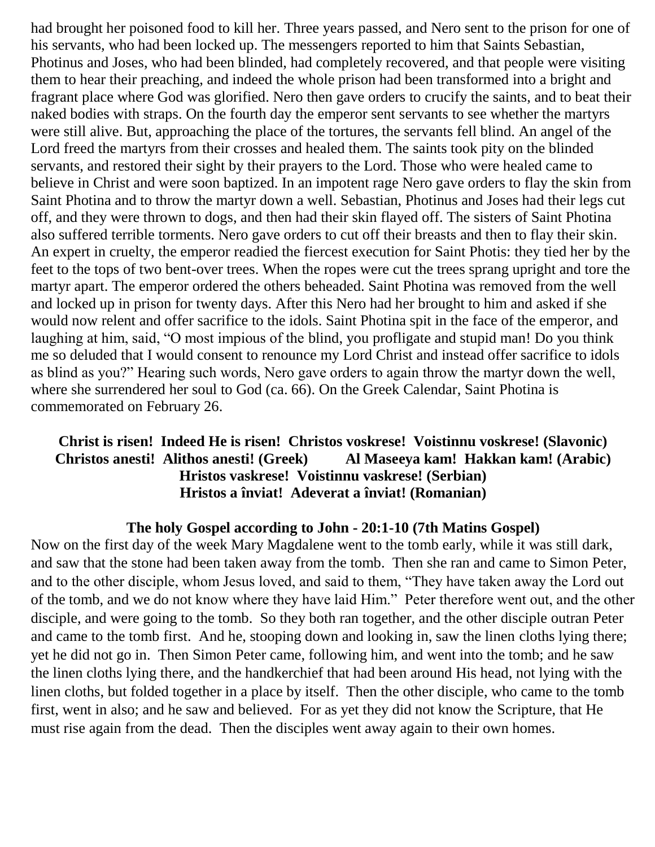had brought her poisoned food to kill her. Three years passed, and Nero sent to the prison for one of his servants, who had been locked up. The messengers reported to him that Saints Sebastian, Photinus and Joses, who had been blinded, had completely recovered, and that people were visiting them to hear their preaching, and indeed the whole prison had been transformed into a bright and fragrant place where God was glorified. Nero then gave orders to crucify the saints, and to beat their naked bodies with straps. On the fourth day the emperor sent servants to see whether the martyrs were still alive. But, approaching the place of the tortures, the servants fell blind. An angel of the Lord freed the martyrs from their crosses and healed them. The saints took pity on the blinded servants, and restored their sight by their prayers to the Lord. Those who were healed came to believe in Christ and were soon baptized. In an impotent rage Nero gave orders to flay the skin from Saint Photina and to throw the martyr down a well. Sebastian, Photinus and Joses had their legs cut off, and they were thrown to dogs, and then had their skin flayed off. The sisters of Saint Photina also suffered terrible torments. Nero gave orders to cut off their breasts and then to flay their skin. An expert in cruelty, the emperor readied the fiercest execution for Saint Photis: they tied her by the feet to the tops of two bent-over trees. When the ropes were cut the trees sprang upright and tore the martyr apart. The emperor ordered the others beheaded. Saint Photina was removed from the well and locked up in prison for twenty days. After this Nero had her brought to him and asked if she would now relent and offer sacrifice to the idols. Saint Photina spit in the face of the emperor, and laughing at him, said, "O most impious of the blind, you profligate and stupid man! Do you think me so deluded that I would consent to renounce my Lord Christ and instead offer sacrifice to idols as blind as you?" Hearing such words, Nero gave orders to again throw the martyr down the well, where she surrendered her soul to God (ca. 66). On the Greek Calendar, Saint Photina is commemorated on February 26.

### **Christ is risen! Indeed He is risen! Christos voskrese! Voistinnu voskrese! (Slavonic) Christos anesti! Alithos anesti! (Greek) Al Maseeya kam! Hakkan kam! (Arabic) Hristos vaskrese! Voistinnu vaskrese! (Serbian) Hristos a înviat! Adeverat a înviat! (Romanian)**

#### **The holy Gospel according to John - 20:1-10 (7th Matins Gospel)**

Now on the first day of the week Mary Magdalene went to the tomb early, while it was still dark, and saw that the stone had been taken away from the tomb. Then she ran and came to Simon Peter, and to the other disciple, whom Jesus loved, and said to them, "They have taken away the Lord out of the tomb, and we do not know where they have laid Him." Peter therefore went out, and the other disciple, and were going to the tomb. So they both ran together, and the other disciple outran Peter and came to the tomb first. And he, stooping down and looking in, saw the linen cloths lying there; yet he did not go in. Then Simon Peter came, following him, and went into the tomb; and he saw the linen cloths lying there, and the handkerchief that had been around His head, not lying with the linen cloths, but folded together in a place by itself. Then the other disciple, who came to the tomb first, went in also; and he saw and believed. For as yet they did not know the Scripture, that He must rise again from the dead. Then the disciples went away again to their own homes.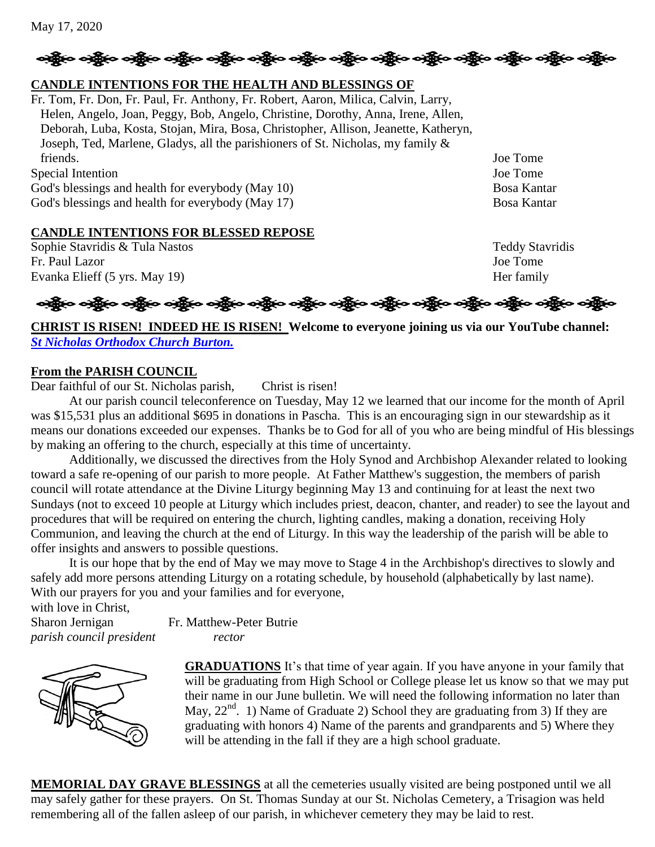May 17, 2020

# ဆို့ပြီးဝ ခရို့**ပ ခရို့လ ခရို့လ ခရို့လ ခရို့လ ခရို့လ ခရို့လ ခရို့လ ခရိုက် သို့လ ခရိုင် ခရိုင်**

### **CANDLE INTENTIONS FOR THE HEALTH AND BLESSINGS OF**

Fr. Tom, Fr. Don, Fr. Paul, Fr. Anthony, Fr. Robert, Aaron, Milica, Calvin, Larry, Helen, Angelo, Joan, Peggy, Bob, Angelo, Christine, Dorothy, Anna, Irene, Allen, Deborah, Luba, Kosta, Stojan, Mira, Bosa, Christopher, Allison, Jeanette, Katheryn, Joseph, Ted, Marlene, Gladys, all the parishioners of St. Nicholas, my family & friends. Joe Tome Special Intention Joe Tome

God's blessings and health for everybody (May 10) Bosa Kantar God's blessings and health for everybody (May 17) Bosa Kantar

### **CANDLE INTENTIONS FOR BLESSED REPOSE**

Sophie Stavridis & Tula Nastos Teddy Stavridis Fr. Paul Lazor Joe Tome Evanka Elieff (5 yrs. May 19) Her family

# ဆိုပြီးစ ဝတ္ထိုးဝ ဝတ္ထိုးဝ ဝတ္ထိုးဝ ဝတ္ထိုးဝ ဝတ္ထိုးဝ ဝတ္ထိုးဝ ဝတ္ထိုးဝ ဝတ္ထိုးဝ ဝတ္ထိုးဝ ဝတ္ထိုးဝ ဝတ္ထိုး

**CHRIST IS RISEN! INDEED HE IS RISEN! Welcome to everyone joining us via our YouTube channel:**  *[St Nicholas Orthodox Church Burton.](https://www.youtube.com/channel/UC59tV-Re443z-GCoETAUvfA)*

### **From the PARISH COUNCIL**

Dear faithful of our St. Nicholas parish, Christ is risen!

At our parish council teleconference on Tuesday, May 12 we learned that our income for the month of April was \$15,531 plus an additional \$695 in donations in Pascha. This is an encouraging sign in our stewardship as it means our donations exceeded our expenses. Thanks be to God for all of you who are being mindful of His blessings by making an offering to the church, especially at this time of uncertainty.

Additionally, we discussed the directives from the Holy Synod and Archbishop Alexander related to looking toward a safe re-opening of our parish to more people. At Father Matthew's suggestion, the members of parish council will rotate attendance at the Divine Liturgy beginning May 13 and continuing for at least the next two Sundays (not to exceed 10 people at Liturgy which includes priest, deacon, chanter, and reader) to see the layout and procedures that will be required on entering the church, lighting candles, making a donation, receiving Holy Communion, and leaving the church at the end of Liturgy. In this way the leadership of the parish will be able to offer insights and answers to possible questions.

It is our hope that by the end of May we may move to Stage 4 in the Archbishop's directives to slowly and safely add more persons attending Liturgy on a rotating schedule, by household (alphabetically by last name). With our prayers for you and your families and for everyone,

with love in Christ,

*parish council president rector*

Sharon Jernigan Fr. Matthew-Peter Butrie

**GRADUATIONS** It's that time of year again. If you have anyone in your family that will be graduating from High School or College please let us know so that we may put their name in our June bulletin. We will need the following information no later than May,  $22<sup>nd</sup>$ . 1) Name of Graduate 2) School they are graduating from 3) If they are graduating with honors 4) Name of the parents and grandparents and 5) Where they will be attending in the fall if they are a high school graduate.

**MEMORIAL DAY GRAVE BLESSINGS** at all the cemeteries usually visited are being postponed until we all may safely gather for these prayers. On St. Thomas Sunday at our St. Nicholas Cemetery, a Trisagion was held remembering all of the fallen asleep of our parish, in whichever cemetery they may be laid to rest.